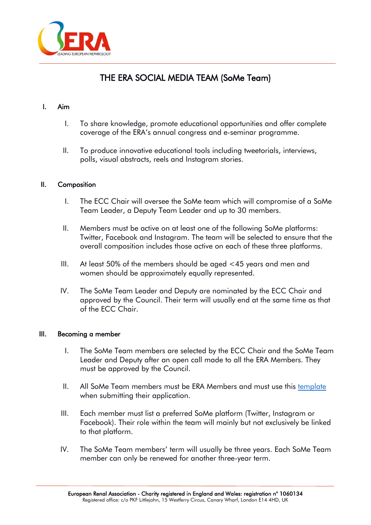

# THE ERA SOCIAL MEDIA TEAM (SoMe Team)

## I. Aim

- I. To share knowledge, promote educational opportunities and offer complete coverage of the ERA's annual congress and e-seminar programme.
- II. To produce innovative educational tools including tweetorials, interviews, polls, visual abstracts, reels and Instagram stories.

## II. Composition

- I. The ECC Chair will oversee the SoMe team which will compromise of a SoMe Team Leader, a Deputy Team Leader and up to 30 members.
- II. Members must be active on at least one of the following SoMe platforms: Twitter, Facebook and Instagram. The team will be selected to ensure that the overall composition includes those active on each of these three platforms.
- III. At least 50% of the members should be aged <45 years and men and women should be approximately equally represented.
- IV. The SoMe Team Leader and Deputy are nominated by the ECC Chair and approved by the Council. Their term will usually end at the same time as that of the ECC Chair.

## III. Becoming a member

- I. The SoMe Team members are selected by the ECC Chair and the SoMe Team Leader and Deputy after an open call made to all the ERA Members. They must be approved by the Council.
- II. All SoMe Team members must be ERA Members and must use this [template](https://www.era-online.org/en/wp-content/uploads/2022/06/ECC_SoMe_Candidate_Application.docx) when submitting their application.
- III. Each member must list a preferred SoMe platform (Twitter, Instagram or Facebook). Their role within the team will mainly but not exclusively be linked to that platform.
- IV. The SoMe Team members' term will usually be three years. Each SoMe Team member can only be renewed for another three-year term.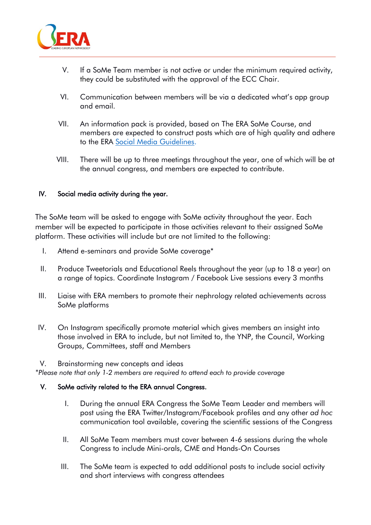

- V. If a SoMe Team member is not active or under the minimum required activity, they could be substituted with the approval of the ECC Chair.
- VI. Communication between members will be via a dedicated what's app group and email.
- VII. An information pack is provided, based on The ERA SoMe Course, and members are expected to construct posts which are of high quality and adhere to the ERA [Social Media Guidelines.](https://www.era-online.org/en/wp-content/uploads/2022/06/SOCIAL-MEDIA-GUIDELINES-2022.pdf)
- VIII. There will be up to three meetings throughout the year, one of which will be at the annual congress, and members are expected to contribute.

# IV. Social media activity during the year.

The SoMe team will be asked to engage with SoMe activity throughout the year. Each member will be expected to participate in those activities relevant to their assigned SoMe platform. These activities will include but are not limited to the following:

- I. Attend e-seminars and provide SoMe coverage\*
- II. Produce Tweetorials and Educational Reels throughout the year (up to 18 a year) on a range of topics. Coordinate Instagram / Facebook Live sessions every 3 months
- III. Liaise with ERA members to promote their nephrology related achievements across SoMe platforms
- IV. On Instagram specifically promote material which gives members an insight into those involved in ERA to include, but not limited to, the YNP, the Council, Working Groups, Committees, staff and Members

### V. Brainstorming new concepts and ideas

*\*Please note that only 1-2 members are required to attend each to provide coverage*

## V. SoMe activity related to the ERA annual Congress.

- I. During the annual ERA Congress the SoMe Team Leader and members will post using the ERA Twitter/Instagram/Facebook profiles and any other *ad hoc* communication tool available, covering the scientific sessions of the Congress
- II. All SoMe Team members must cover between 4-6 sessions during the whole Congress to include Mini-orals, CME and Hands-On Courses
- III. The SoMe team is expected to add additional posts to include social activity and short interviews with congress attendees